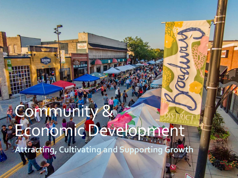# Ommunity Economic Developme **Attracting, Cultivating and Supporting Growth**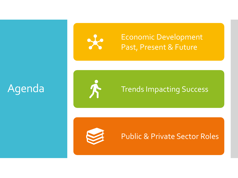

Economic Development Past, Present & Future

## Agenda



### Trends Impacting Success



### Public & Private Sector Roles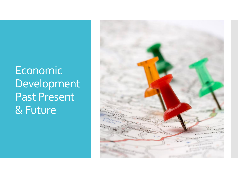## Economic Development Past Present & Future

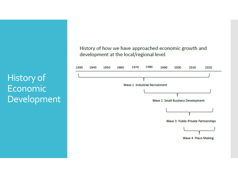History of Economic Development History of how we have approached economic growth and development at the local/regional level.

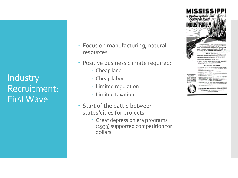**Industry** Recruitment: First Wave

- Focus on manufacturing, natural resources
- Positive business climate required:
	- Cheap land
	- Cheap labor
	- Limited regulation
	- Limited taxation
- Start of the battle between states/cities for projects
	- Great depression era programs (1933) supported competition for dollars



centers on Massociant's program to be cure on equitable bolonce of ogniculture with moletry. Business leaders already are nquiring as to pregness and results.

New is The Asses Value of missuifactured products UP ST per cer-Number of industrial workers LP 33 per cent

\* Industrial payalls UP 46 per cent WAND-36 new maps industries have located in<br>Adaptaign within the post six manifes.

And Here Are The Resurs

RANGEROPPI abouted to natural experiment-stage states;<br>matural gas, allundard water payables, we finally, force speakers producing body sweet.

A MOTOR PRINT SALE & SR.E per sent motive SOP. ustSSSARH has another way buyerstoon for the featureing.<br>at agreement with indicity.



in application with the contract state of the contract of the second later, in process FAO and<br>the contract of the contract of the contract of the contract of the<br>second contract of the contract of the contract of the con WANTEDOWN also and more after brandy cooparation and

assistance to sport industries senting non-locations at<br>any to expend project facilities.

MISSISSIPPI INDUSTRIAL COMMISSION went or this shown or AAANNA MILLERN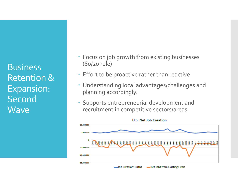Business Retention & Expansion: Second **Wave** 

- Focus on job growth from existing businesses (80/20 rule)
- Effort to be proactive rather than reactive
- Understanding local advantages/challenges and planning accordingly.
- Supports entrepreneurial development and recruitment in competitive sectors/areas.

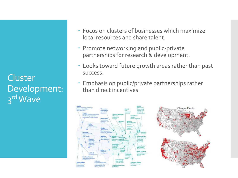**Cluster** Development: 3<sup>rd</sup> Wave

- Focus on clusters of businesses which maximize local resources and share talent.
- Promote networking and public-private partnerships for research & development.
- Looks toward future growth areas rather than past success.
- Emphasis on public/private partnerships rather than direct incentives



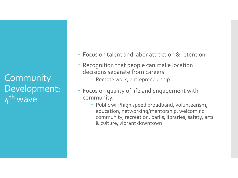**Community** Development: 4<sup>th</sup> wave

- Focus on talent and labor attraction & retention
- Recognition that people can make location decisions separate from careers
	- Remote work, entrepreneurship
- Focus on quality of life and engagement with community.
	- Public wifi/high speed broadband, volunteerism, education, networking/mentorship, welcoming community, recreation, parks, libraries, safety, arts & culture, vibrant downtown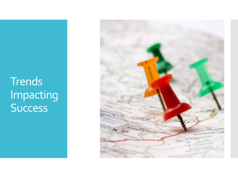**Trends** Impacting Success

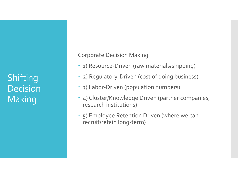**Shifting** Decision **Making** 

Corporate Decision Making

- 1) Resource-Driven (raw materials/shipping)
- 2) Regulatory-Driven (cost of doing business)
- 3) Labor-Driven (population numbers)
- 4) Cluster/Knowledge Driven (partner companies, research institutions)
- 5) Employee Retention Driven (where we can recruit/retain long-term)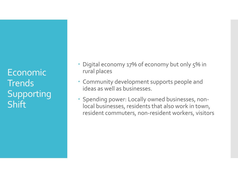Economic **Trends** Supporting **Shift** 

- Digital economy 17% of economy but only 5% in rural places
- Community development supports people and ideas as well as businesses.
- Spending power: Locally owned businesses, nonlocal businesses, residents that also work in town, resident commuters, non-resident workers, visitors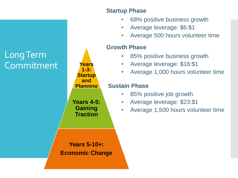## Long Term Commitment

#### **Startup Phase**

- 68% positive business growth
- Average leverage: \$6:\$1
- Average 500 hours volunteer time

#### **Growth Phase**

- 85% positive business growth
- Average leverage: \$16:\$1
- Average 1,000 hours volunteer time

#### **Sustain Phase**

- 85% positive job growth
- Average leverage: \$23:\$1
- Average 1,500 hours volunteer time

**Years 5-10+: Economic Change**

**Years 1-3: Startup and Planning**

**Years 4-5: Gaining Traction**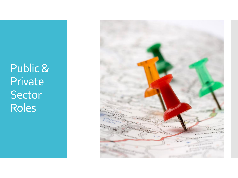Public & Private Sector Roles

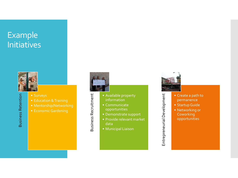## Example Initiatives



- 
- Education & Training
- Mentorship/Networking
- 



Business Recruitment

**Business Recruitment** 

- Available property information
- Communicate opportunities
- Demonstrate support
- Provide relevant market data
- Municipal Liaison



Entrepreneurial Development

Entrepreneurial Development

- Create a path to permanence
- Startup Guide
- Networking or **Coworking** opportunities

**Business Retention** Business Retention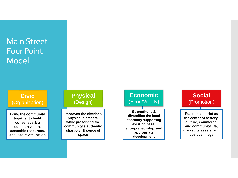## Main Street Four Point Model

**Civic**  (Organization)

**Bring the community together to build consensus & a common vision, assemble resources, and lead revitalization**

#### **Physical**  (Design)

**Improves the district's physical elements, while preserving the community's authentic character & sense of space**

#### **Economic**  (Econ/Vitality)

**Strengthens & diversifies the local economy supporting existing base, entrepreneurship, and appropriate development**



**Positions district as the center of activity, culture, commerce, and community life, market its assets, and positive image**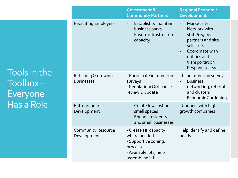Tools in the Toolbox – Everyone Has a Role

|                                          | <b>Government &amp;</b><br><b>Community Partners</b>                                                                      | <b>Regional Economic</b><br><b>Development</b>                                                                                                                                         |  |
|------------------------------------------|---------------------------------------------------------------------------------------------------------------------------|----------------------------------------------------------------------------------------------------------------------------------------------------------------------------------------|--|
| <b>Recruiting Employers</b>              | Establish & maintain<br>business parks,<br>Ensure infrastructure<br>capacity                                              | Market sites<br>$\Box$<br>Network with<br>$\blacksquare$<br>state/regional<br>partners and site<br>selectors<br>Coordinate with<br>utilities and<br>transportation<br>Respond to leads |  |
| Retaining & growing<br><b>Businesses</b> | - Participate in retention<br>surveys<br>- Regulation/Ordinance<br>review & update                                        | - Lead retention surveys<br><b>Business</b><br>networking, referral<br>and clusters<br><b>Economic Gardening</b>                                                                       |  |
| Entrepreneurial<br>Development           | Create low cost or<br>small spaces<br>Engage residents<br>and small businesses                                            | - Connect with high<br>growth companies                                                                                                                                                |  |
| <b>Community Resource</b><br>Development | - Create TIF capacity<br>where needed<br>- Supportive zoning,<br>processes<br>- Available lots, help<br>assembling infill | Help identify and define<br>needs                                                                                                                                                      |  |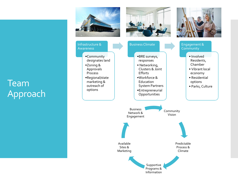## Team Approach

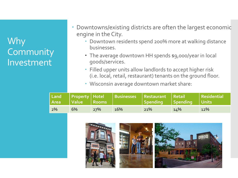## Why **Community** Investment

- Downtowns/existing districts are often the largest economic engine in the City.
	- Downtown residents spend 200% more at walking distance businesses.
	- The average downtown HH spends \$9,000/year in local goods/services.
	- Filled upper units allow landlords to accept higher risk (i.e. local, retail, restaurant) tenants on the ground floor.
	- Wisconsin average downtown market share:

| Land<br>Area | Value    Rooms |     | Property Hotel Businesses Restaurant Retail | Spending Spending Units |     | Residential |
|--------------|----------------|-----|---------------------------------------------|-------------------------|-----|-------------|
| 2%           | 6%             | 27% | 16%                                         | 21%                     | 14% | 12%         |

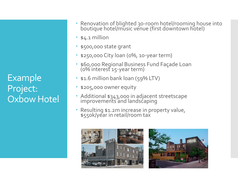Example Project: Oxbow Hotel

- Renovation of blighted 30-room hotel/rooming house into boutique hotel/music venue (first downtown hotel)
- $\cdot$  \$4.1 million
- \$500,000 state grant
- \$250,000 City loan (0%, 10-year term)
- \$60,000 Regional Business Fund Façade Loan (0% interest 15-year term)
- \$1.6 million bank loan (59% LTV)
- \$205,000 owner equity
- Additional \$343,000 in adjacent streetscape improvements and landscaping
- Resulting \$1.2m increase in property value, \$550k/year in retail/room tax